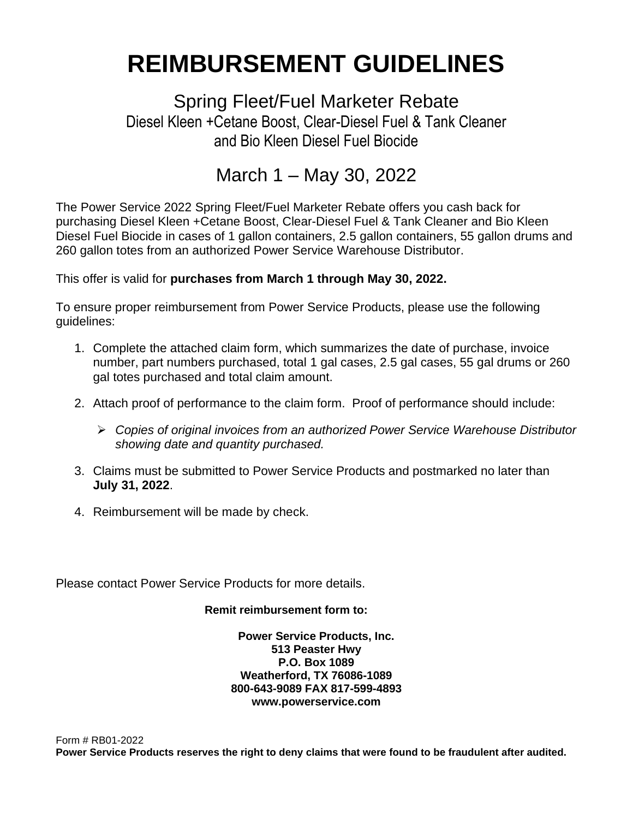# **REIMBURSEMENT GUIDELINES**

Spring Fleet/Fuel Marketer Rebate Diesel Kleen +Cetane Boost, Clear-Diesel Fuel & Tank Cleaner and Bio Kleen Diesel Fuel Biocide

## March 1 – May 30, 2022

The Power Service 2022 Spring Fleet/Fuel Marketer Rebate offers you cash back for purchasing Diesel Kleen +Cetane Boost, Clear-Diesel Fuel & Tank Cleaner and Bio Kleen Diesel Fuel Biocide in cases of 1 gallon containers, 2.5 gallon containers, 55 gallon drums and 260 gallon totes from an authorized Power Service Warehouse Distributor.

This offer is valid for **purchases from March 1 through May 30, 2022.**

To ensure proper reimbursement from Power Service Products, please use the following guidelines:

- 1. Complete the attached claim form, which summarizes the date of purchase, invoice number, part numbers purchased, total 1 gal cases, 2.5 gal cases, 55 gal drums or 260 gal totes purchased and total claim amount.
- 2. Attach proof of performance to the claim form. Proof of performance should include:
	- ➢ *Copies of original invoices from an authorized Power Service Warehouse Distributor showing date and quantity purchased.*
- 3. Claims must be submitted to Power Service Products and postmarked no later than **July 31, 2022**.
- 4. Reimbursement will be made by check.

Please contact Power Service Products for more details.

#### **Remit reimbursement form to:**

**Power Service Products, Inc. 513 Peaster Hwy P.O. Box 1089 Weatherford, TX 76086-1089 800-643-9089 FAX 817-599-4893 www.powerservice.com**

Form # RB01-2022 **Power Service Products reserves the right to deny claims that were found to be fraudulent after audited.**